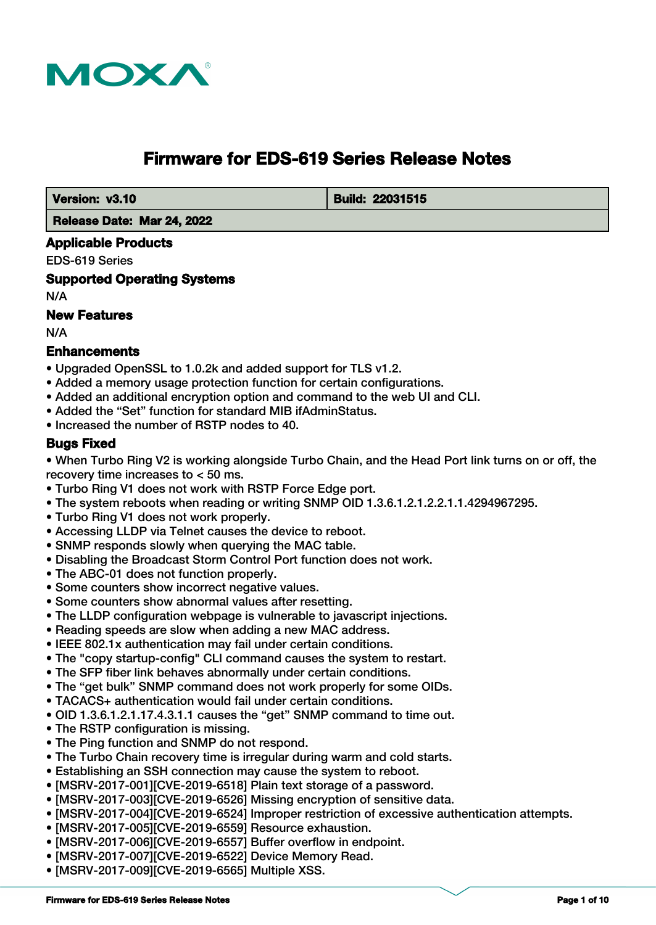

# **Firmware for EDS-619 Series Release Notes**

 **Version: v3.10** Build: 22031515

 **Release Date: Mar 24, 2022**

### **Applicable Products**

EDS-619 Series

**Supported Operating Systems**

N/A

# **New Features**

N/A

### **Enhancements**

- Upgraded OpenSSL to 1.0.2k and added support for TLS v1.2.
- Added a memory usage protection function for certain configurations.
- Added an additional encryption option and command to the web UI and CLI.
- Added the "Set" function for standard MIB ifAdminStatus.
- Increased the number of RSTP nodes to 40.

### **Bugs Fixed**

• When Turbo Ring V2 is working alongside Turbo Chain, and the Head Port link turns on or off, the recovery time increases to < 50 ms.

- Turbo Ring V1 does not work with RSTP Force Edge port.
- The system reboots when reading or writing SNMP OID 1.3.6.1.2.1.2.2.1.1.4294967295.
- Turbo Ring V1 does not work properly.
- Accessing LLDP via Telnet causes the device to reboot.
- SNMP responds slowly when querying the MAC table.
- Disabling the Broadcast Storm Control Port function does not work.
- The ABC-01 does not function properly.
- Some counters show incorrect negative values.
- Some counters show abnormal values after resetting.
- The LLDP configuration webpage is vulnerable to javascript injections.
- Reading speeds are slow when adding a new MAC address.
- IEEE 802.1x authentication may fail under certain conditions.
- The "copy startup-config" CLI command causes the system to restart.
- The SFP fiber link behaves abnormally under certain conditions.
- The "get bulk" SNMP command does not work properly for some OIDs.
- TACACS+ authentication would fail under certain conditions.
- OID 1.3.6.1.2.1.17.4.3.1.1 causes the "get" SNMP command to time out.
- The RSTP configuration is missing.
- The Ping function and SNMP do not respond.
- The Turbo Chain recovery time is irregular during warm and cold starts.
- Establishing an SSH connection may cause the system to reboot.
- [MSRV-2017-001][CVE-2019-6518] Plain text storage of a password.
- [MSRV-2017-003][CVE-2019-6526] Missing encryption of sensitive data.
- [MSRV-2017-004][CVE-2019-6524] Improper restriction of excessive authentication attempts.
- [MSRV-2017-005][CVE-2019-6559] Resource exhaustion.
- [MSRV-2017-006][CVE-2019-6557] Buffer overflow in endpoint.
- [MSRV-2017-007][CVE-2019-6522] Device Memory Read.
- [MSRV-2017-009][CVE-2019-6565] Multiple XSS.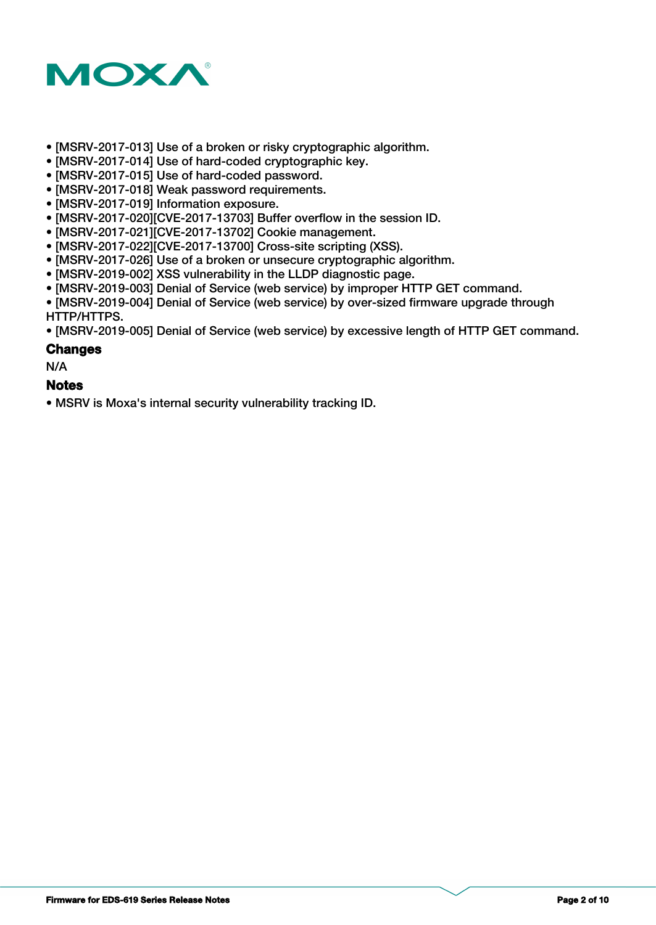

- [MSRV-2017-013] Use of a broken or risky cryptographic algorithm.
- [MSRV-2017-014] Use of hard-coded cryptographic key.
- [MSRV-2017-015] Use of hard-coded password.
- [MSRV-2017-018] Weak password requirements.
- [MSRV-2017-019] Information exposure.
- [MSRV-2017-020][CVE-2017-13703] Buffer overflow in the session ID.
- [MSRV-2017-021][CVE-2017-13702] Cookie management.
- [MSRV-2017-022][CVE-2017-13700] Cross-site scripting (XSS).
- [MSRV-2017-026] Use of a broken or unsecure cryptographic algorithm.
- [MSRV-2019-002] XSS vulnerability in the LLDP diagnostic page.
- [MSRV-2019-003] Denial of Service (web service) by improper HTTP GET command.

• [MSRV-2019-004] Denial of Service (web service) by over-sized firmware upgrade through HTTP/HTTPS.

• [MSRV-2019-005] Denial of Service (web service) by excessive length of HTTP GET command.

#### **Changes**

N/A

#### **Notes**

• MSRV is Moxa's internal security vulnerability tracking ID.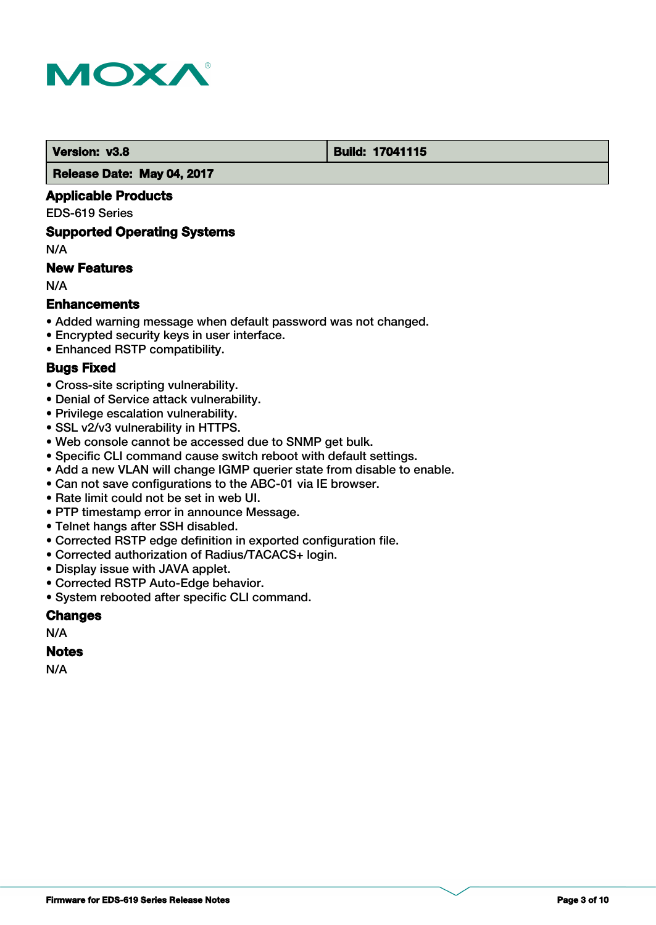

### **Version: v3.8 Build: 17041115**

#### **Release Date: May 04, 2017**

# **Applicable Products**

#### EDS-619 Series

### **Supported Operating Systems**

N/A

# **New Features**

N/A

# **Enhancements**

- Added warning message when default password was not changed.
- Encrypted security keys in user interface.
- Enhanced RSTP compatibility.

# **Bugs Fixed**

- Cross-site scripting vulnerability.
- Denial of Service attack vulnerability.
- Privilege escalation vulnerability.
- SSL v2/v3 vulnerability in HTTPS.
- Web console cannot be accessed due to SNMP get bulk.
- Specific CLI command cause switch reboot with default settings.
- Add a new VLAN will change IGMP querier state from disable to enable.
- Can not save configurations to the ABC-01 via IE browser.
- Rate limit could not be set in web UI.
- PTP timestamp error in announce Message.
- Telnet hangs after SSH disabled.
- Corrected RSTP edge definition in exported configuration file.
- Corrected authorization of Radius/TACACS+ login.
- Display issue with JAVA applet.
- Corrected RSTP Auto-Edge behavior.
- System rebooted after specific CLI command.

# **Changes**

# N/A

#### **Notes**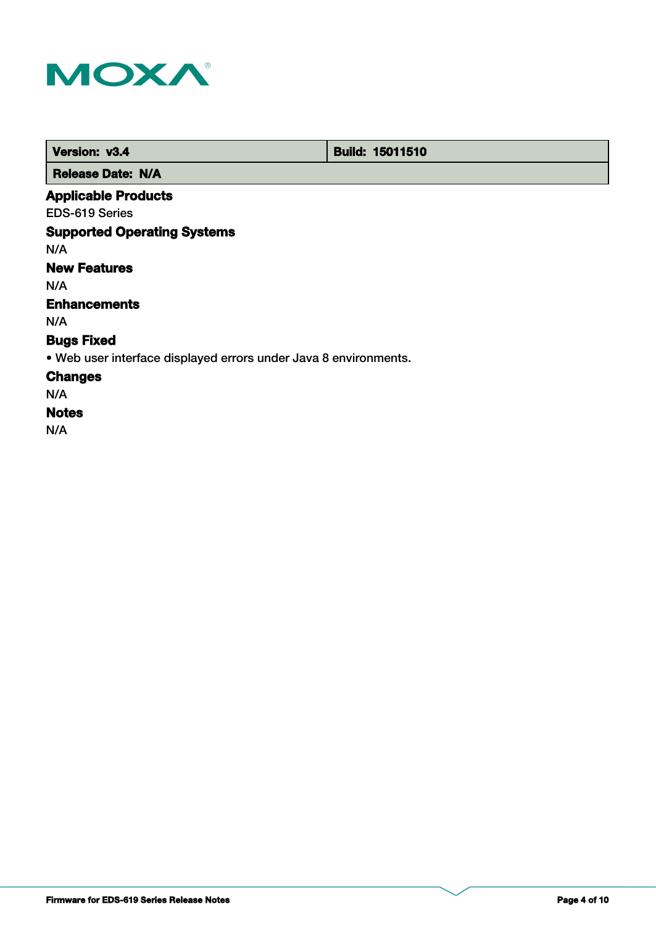

 **Version: v3.4 Build: 15011510** 

 **Release Date: N/A**

# **Applicable Products**

EDS-619 Series

# **Supported Operating Systems**

N/A

# **New Features**

N/A

# **Enhancements**

N/A

## **Bugs Fixed**

• Web user interface displayed errors under Java 8 environments.

### **Changes**

N/A

### **Notes**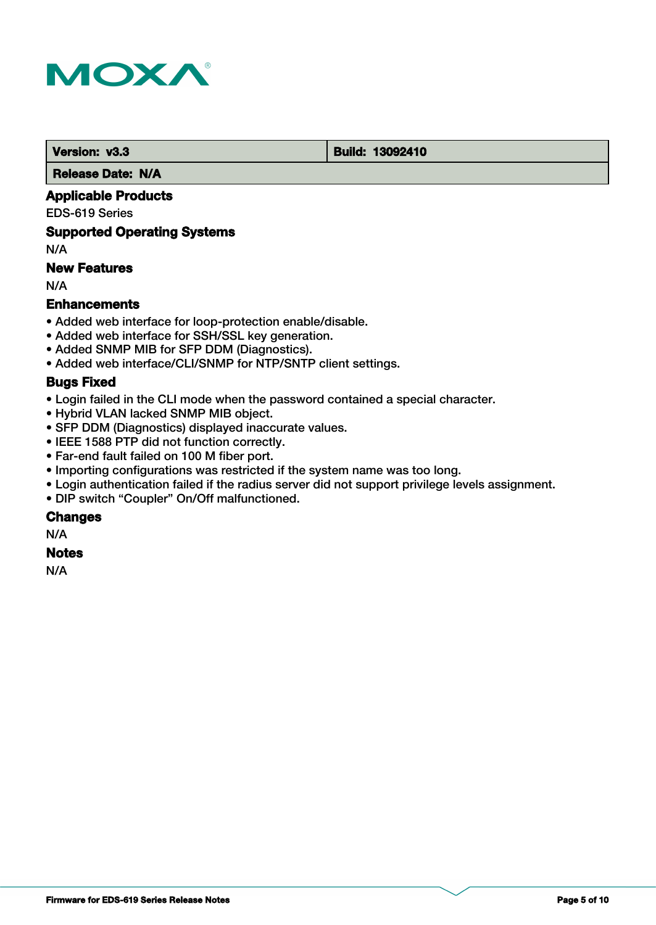

 **Version: v3.3 Build: 13092410** 

 **Release Date: N/A**

# **Applicable Products**

EDS-619 Series

#### **Supported Operating Systems**

N/A

# **New Features**

N/A

### **Enhancements**

- Added web interface for loop-protection enable/disable.
- Added web interface for SSH/SSL key generation.
- Added SNMP MIB for SFP DDM (Diagnostics).
- Added web interface/CLI/SNMP for NTP/SNTP client settings.

#### **Bugs Fixed**

- Login failed in the CLI mode when the password contained a special character.
- Hybrid VLAN lacked SNMP MIB object.
- SFP DDM (Diagnostics) displayed inaccurate values.
- IEEE 1588 PTP did not function correctly.
- Far-end fault failed on 100 M fiber port.
- Importing configurations was restricted if the system name was too long.
- Login authentication failed if the radius server did not support privilege levels assignment.
- DIP switch "Coupler" On/Off malfunctioned.

#### **Changes**

N/A

#### **Notes**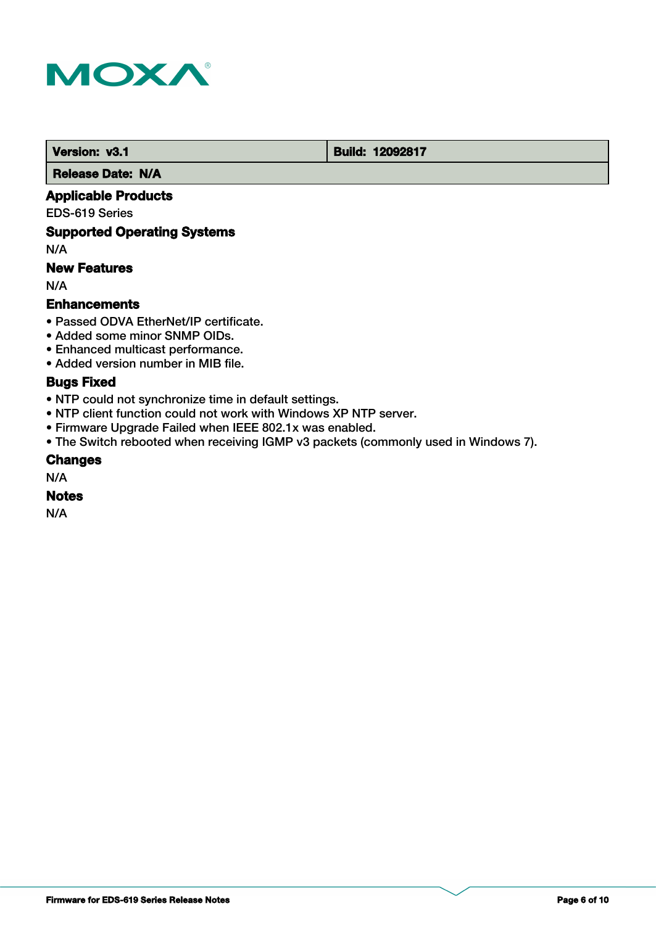

**Version: v3.1 Build: 12092817** 

 **Release Date: N/A**

# **Applicable Products**

EDS-619 Series

### **Supported Operating Systems**

N/A

# **New Features**

N/A

### **Enhancements**

- Passed ODVA EtherNet/IP certificate.
- Added some minor SNMP OIDs.
- Enhanced multicast performance.
- Added version number in MIB file.

# **Bugs Fixed**

- NTP could not synchronize time in default settings.
- NTP client function could not work with Windows XP NTP server.
- Firmware Upgrade Failed when IEEE 802.1x was enabled.
- The Switch rebooted when receiving IGMP v3 packets (commonly used in Windows 7).

#### **Changes**

N/A

#### **Notes**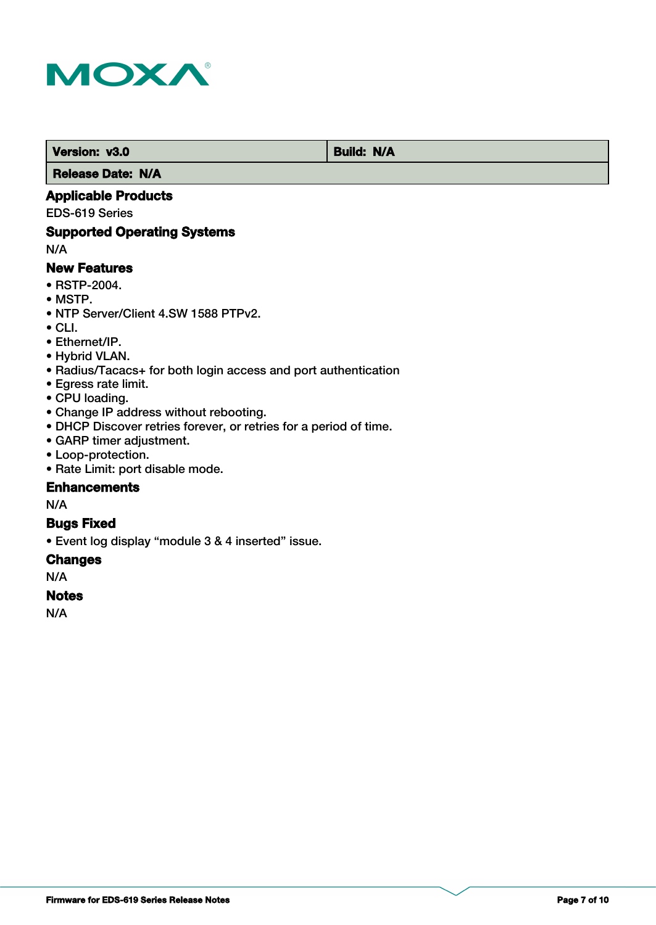

**Version: v3.0** Build: N/A  **Release Date: N/A**

### **Applicable Products**

EDS-619 Series

### **Supported Operating Systems**

N/A

### **New Features**

- RSTP-2004.
- MSTP.
- NTP Server/Client 4.SW 1588 PTPv2.
- $\bullet$  CLI.
- Ethernet/IP.
- Hybrid VLAN.
- Radius/Tacacs+ for both login access and port authentication
- Egress rate limit.
- CPU loading.
- Change IP address without rebooting.
- DHCP Discover retries forever, or retries for a period of time.
- GARP timer adjustment.
- Loop-protection.
- Rate Limit: port disable mode.

#### **Enhancements**

N/A

## **Bugs Fixed**

• Event log display "module 3 & 4 inserted" issue.

#### **Changes**

N/A

#### **Notes**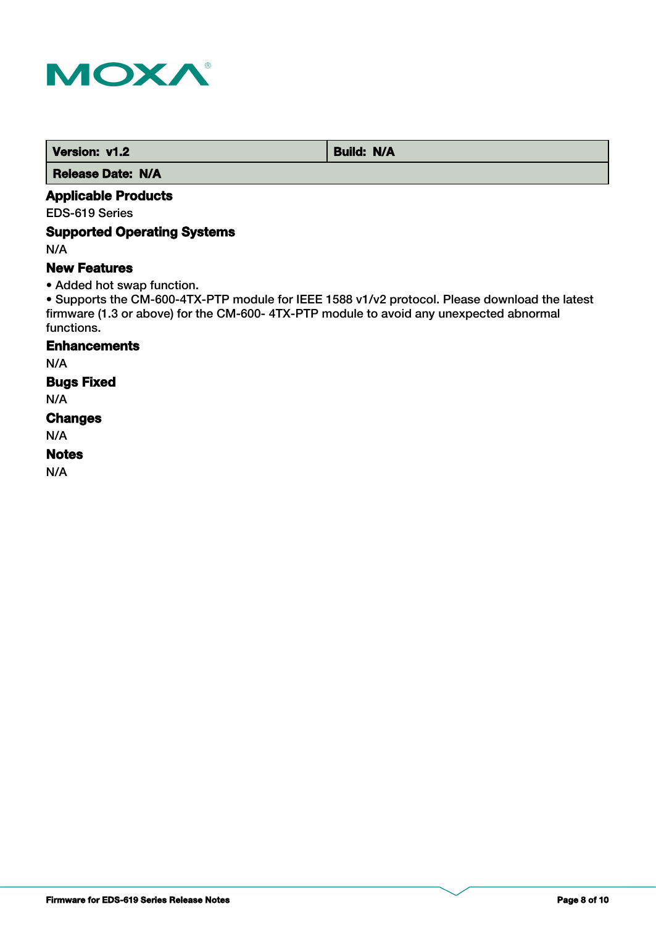

*Version: v1.2* Build: N/A

 **Release Date: N/A**

# **Applicable Products**

EDS-619 Series

### **Supported Operating Systems**

N/A

### **New Features**

• Added hot swap function.

• Supports the CM-600-4TX-PTP module for IEEE 1588 v1/v2 protocol. Please download the latest firmware (1.3 or above) for the CM-600- 4TX-PTP module to avoid any unexpected abnormal functions.

# **Enhancements**

N/A

# **Bugs Fixed**

N/A

### **Changes**

N/A

### **Notes**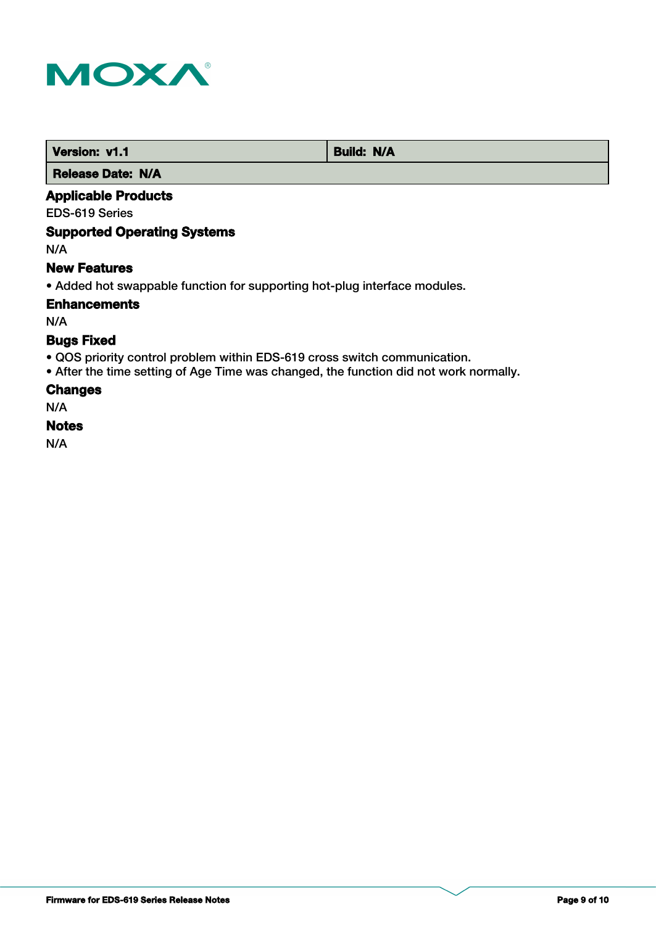

| Version: v1.1            | <b>Build: N/A</b> |
|--------------------------|-------------------|
| <b>Release Date: N/A</b> |                   |

### **Applicable Products**

EDS-619 Series

# **Supported Operating Systems**

N/A

#### **New Features**

• Added hot swappable function for supporting hot-plug interface modules.

**Enhancements**

N/A

# **Bugs Fixed**

- QOS priority control problem within EDS-619 cross switch communication.
- After the time setting of Age Time was changed, the function did not work normally.

#### **Changes**

N/A

#### **Notes**